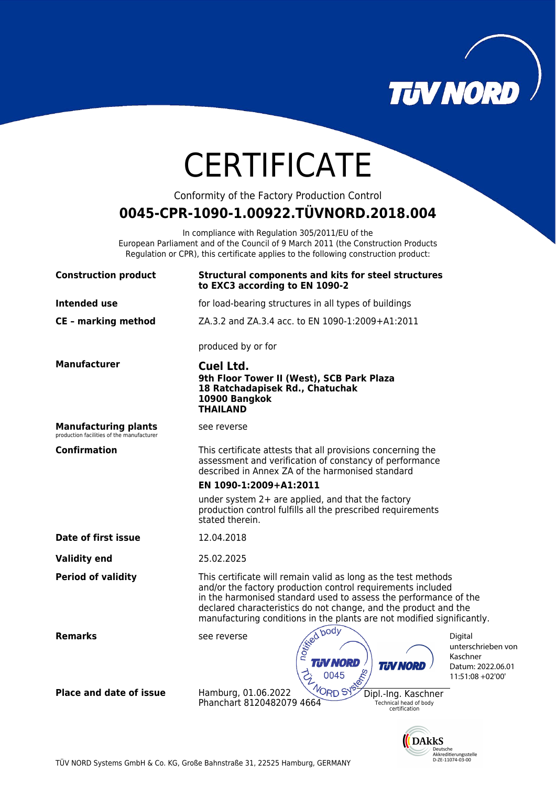

NTCD<br>Akkreditierungsstelle<br>D-ZE-11074-03-00

# **CERTIFICATE**

Conformity of the Factory Production Control

# **0045-CPR-1090-1.00922.TÜVNORD.2018.004**

In compliance with Regulation 305/2011/EU of the European Parliament and of the Council of 9 March 2011 (the Construction Products Regulation or CPR), this certificate applies to the following construction product:

| <b>Construction product</b>                                              | <b>Structural components and kits for steel structures</b><br>to EXC3 according to EN 1090-2                                                                                                                                                                                                                                                   |                                         |
|--------------------------------------------------------------------------|------------------------------------------------------------------------------------------------------------------------------------------------------------------------------------------------------------------------------------------------------------------------------------------------------------------------------------------------|-----------------------------------------|
| <b>Intended use</b>                                                      | for load-bearing structures in all types of buildings                                                                                                                                                                                                                                                                                          |                                         |
| <b>CE - marking method</b>                                               | ZA.3.2 and ZA.3.4 acc. to EN 1090-1:2009+A1:2011                                                                                                                                                                                                                                                                                               |                                         |
|                                                                          | produced by or for                                                                                                                                                                                                                                                                                                                             |                                         |
| <b>Manufacturer</b>                                                      | Cuel Ltd.<br>9th Floor Tower II (West), SCB Park Plaza<br>18 Ratchadapisek Rd., Chatuchak<br>10900 Bangkok<br><b>THAILAND</b>                                                                                                                                                                                                                  |                                         |
| <b>Manufacturing plants</b><br>production facilities of the manufacturer | see reverse                                                                                                                                                                                                                                                                                                                                    |                                         |
| Confirmation                                                             | This certificate attests that all provisions concerning the<br>assessment and verification of constancy of performance<br>described in Annex ZA of the harmonised standard                                                                                                                                                                     |                                         |
|                                                                          | EN 1090-1:2009+A1:2011                                                                                                                                                                                                                                                                                                                         |                                         |
|                                                                          | under system 2+ are applied, and that the factory<br>production control fulfills all the prescribed requirements<br>stated therein.                                                                                                                                                                                                            |                                         |
| Date of first issue                                                      | 12.04.2018                                                                                                                                                                                                                                                                                                                                     |                                         |
| <b>Validity end</b>                                                      | 25.02.2025                                                                                                                                                                                                                                                                                                                                     |                                         |
| <b>Period of validity</b>                                                | This certificate will remain valid as long as the test methods<br>and/or the factory production control requirements included<br>in the harmonised standard used to assess the performance of the<br>declared characteristics do not change, and the product and the<br>manufacturing conditions in the plants are not modified significantly. |                                         |
| <b>Remarks</b>                                                           | re ie I<br>see reverse<br>Digital<br>Kaschner<br><b>TUV NORD</b><br><b>TIN NORD</b><br>eme<br>11:51:08 +02'00'                                                                                                                                                                                                                                 | unterschrieben von<br>Datum: 2022.06.01 |
| <b>Place and date of issue</b>                                           | <b>ENDRD SYS</b><br>Hamburg, 01.06.2022<br>Dipl.-Ing. Kaschner<br>Phanchart 8120482079 4664<br>Technical head of body<br>certification                                                                                                                                                                                                         |                                         |
|                                                                          | <b>DARKS</b>                                                                                                                                                                                                                                                                                                                                   |                                         |